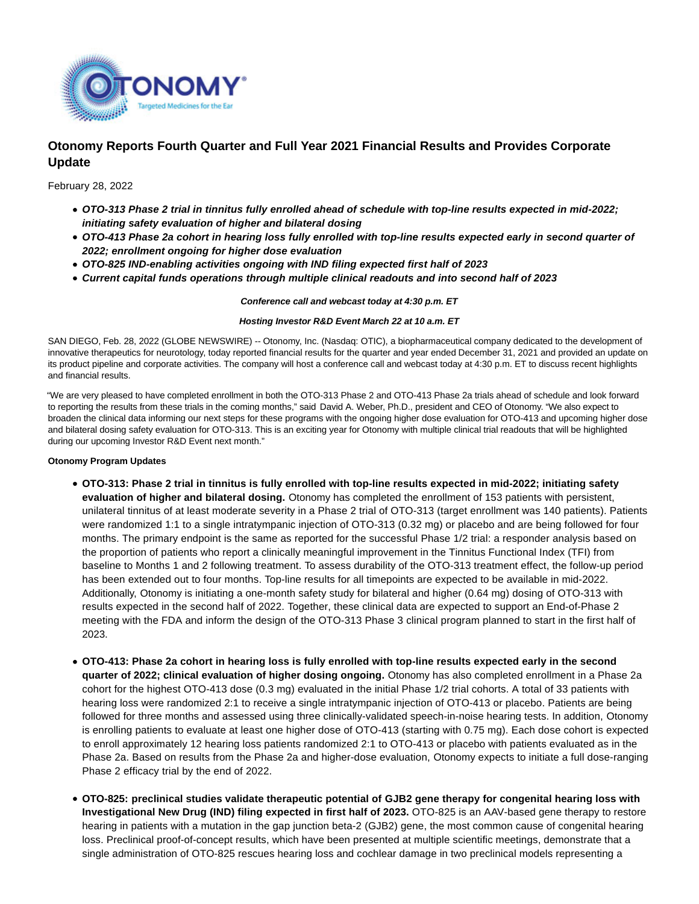

# **Otonomy Reports Fourth Quarter and Full Year 2021 Financial Results and Provides Corporate Update**

February 28, 2022

- **OTO-313 Phase 2 trial in tinnitus fully enrolled ahead of schedule with top-line results expected in mid-2022; initiating safety evaluation of higher and bilateral dosing**
- **OTO-413 Phase 2a cohort in hearing loss fully enrolled with top-line results expected early in second quarter of 2022; enrollment ongoing for higher dose evaluation**
- **OTO-825 IND-enabling activities ongoing with IND filing expected first half of 2023**
- **Current capital funds operations through multiple clinical readouts and into second half of 2023**

**Conference call and webcast today at 4:30 p.m. ET**

### **Hosting Investor R&D Event March 22 at 10 a.m. ET**

SAN DIEGO, Feb. 28, 2022 (GLOBE NEWSWIRE) -- Otonomy, Inc. (Nasdaq: OTIC), a biopharmaceutical company dedicated to the development of innovative therapeutics for neurotology, today reported financial results for the quarter and year ended December 31, 2021 and provided an update on its product pipeline and corporate activities. The company will host a conference call and webcast today at 4:30 p.m. ET to discuss recent highlights and financial results.

"We are very pleased to have completed enrollment in both the OTO-313 Phase 2 and OTO-413 Phase 2a trials ahead of schedule and look forward to reporting the results from these trials in the coming months," said David A. Weber, Ph.D., president and CEO of Otonomy. "We also expect to broaden the clinical data informing our next steps for these programs with the ongoing higher dose evaluation for OTO-413 and upcoming higher dose and bilateral dosing safety evaluation for OTO-313. This is an exciting year for Otonomy with multiple clinical trial readouts that will be highlighted during our upcoming Investor R&D Event next month."

### **Otonomy Program Updates**

- **OTO-313: Phase 2 trial in tinnitus is fully enrolled with top-line results expected in mid-2022; initiating safety evaluation of higher and bilateral dosing.** Otonomy has completed the enrollment of 153 patients with persistent, unilateral tinnitus of at least moderate severity in a Phase 2 trial of OTO-313 (target enrollment was 140 patients). Patients were randomized 1:1 to a single intratympanic injection of OTO-313 (0.32 mg) or placebo and are being followed for four months. The primary endpoint is the same as reported for the successful Phase 1/2 trial: a responder analysis based on the proportion of patients who report a clinically meaningful improvement in the Tinnitus Functional Index (TFI) from baseline to Months 1 and 2 following treatment. To assess durability of the OTO-313 treatment effect, the follow-up period has been extended out to four months. Top-line results for all timepoints are expected to be available in mid-2022. Additionally, Otonomy is initiating a one-month safety study for bilateral and higher (0.64 mg) dosing of OTO-313 with results expected in the second half of 2022. Together, these clinical data are expected to support an End-of-Phase 2 meeting with the FDA and inform the design of the OTO-313 Phase 3 clinical program planned to start in the first half of 2023.
- **OTO-413: Phase 2a cohort in hearing loss is fully enrolled with top-line results expected early in the second quarter of 2022; clinical evaluation of higher dosing ongoing.** Otonomy has also completed enrollment in a Phase 2a cohort for the highest OTO-413 dose (0.3 mg) evaluated in the initial Phase 1/2 trial cohorts. A total of 33 patients with hearing loss were randomized 2:1 to receive a single intratympanic injection of OTO-413 or placebo. Patients are being followed for three months and assessed using three clinically-validated speech-in-noise hearing tests. In addition, Otonomy is enrolling patients to evaluate at least one higher dose of OTO-413 (starting with 0.75 mg). Each dose cohort is expected to enroll approximately 12 hearing loss patients randomized 2:1 to OTO-413 or placebo with patients evaluated as in the Phase 2a. Based on results from the Phase 2a and higher-dose evaluation, Otonomy expects to initiate a full dose-ranging Phase 2 efficacy trial by the end of 2022.
- **OTO-825: preclinical studies validate therapeutic potential of GJB2 gene therapy for congenital hearing loss with Investigational New Drug (IND) filing expected in first half of 2023.** OTO-825 is an AAV-based gene therapy to restore hearing in patients with a mutation in the gap junction beta-2 (GJB2) gene, the most common cause of congenital hearing loss. Preclinical proof-of-concept results, which have been presented at multiple scientific meetings, demonstrate that a single administration of OTO-825 rescues hearing loss and cochlear damage in two preclinical models representing a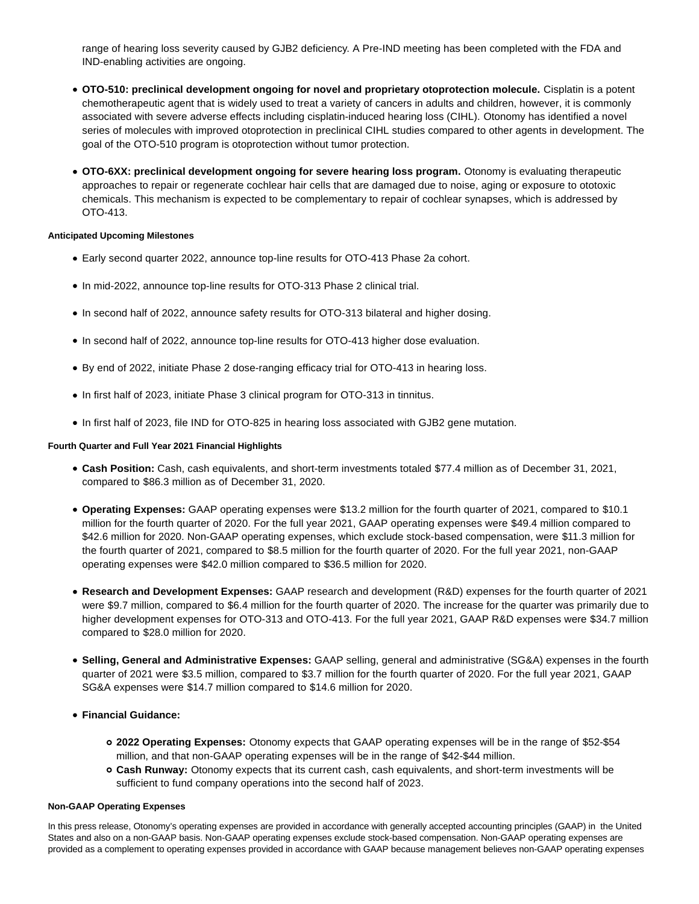range of hearing loss severity caused by GJB2 deficiency. A Pre-IND meeting has been completed with the FDA and IND-enabling activities are ongoing.

- **OTO-510: preclinical development ongoing for novel and proprietary otoprotection molecule.** Cisplatin is a potent chemotherapeutic agent that is widely used to treat a variety of cancers in adults and children, however, it is commonly associated with severe adverse effects including cisplatin-induced hearing loss (CIHL). Otonomy has identified a novel series of molecules with improved otoprotection in preclinical CIHL studies compared to other agents in development. The goal of the OTO-510 program is otoprotection without tumor protection.
- **OTO-6XX: preclinical development ongoing for severe hearing loss program.** Otonomy is evaluating therapeutic approaches to repair or regenerate cochlear hair cells that are damaged due to noise, aging or exposure to ototoxic chemicals. This mechanism is expected to be complementary to repair of cochlear synapses, which is addressed by OTO-413.

## **Anticipated Upcoming Milestones**

- Early second quarter 2022, announce top-line results for OTO-413 Phase 2a cohort.
- In mid-2022, announce top-line results for OTO-313 Phase 2 clinical trial.
- $\bullet$  In second half of 2022, announce safety results for OTO-313 bilateral and higher dosing.
- In second half of 2022, announce top-line results for OTO-413 higher dose evaluation.
- By end of 2022, initiate Phase 2 dose-ranging efficacy trial for OTO-413 in hearing loss.
- In first half of 2023, initiate Phase 3 clinical program for OTO-313 in tinnitus.
- In first half of 2023, file IND for OTO-825 in hearing loss associated with GJB2 gene mutation.

# **Fourth Quarter and Full Year 2021 Financial Highlights**

- **Cash Position:** Cash, cash equivalents, and short-term investments totaled \$77.4 million as of December 31, 2021, compared to \$86.3 million as of December 31, 2020.
- **Operating Expenses:** GAAP operating expenses were \$13.2 million for the fourth quarter of 2021, compared to \$10.1 million for the fourth quarter of 2020. For the full year 2021, GAAP operating expenses were \$49.4 million compared to \$42.6 million for 2020. Non-GAAP operating expenses, which exclude stock-based compensation, were \$11.3 million for the fourth quarter of 2021, compared to \$8.5 million for the fourth quarter of 2020. For the full year 2021, non-GAAP operating expenses were \$42.0 million compared to \$36.5 million for 2020.
- **Research and Development Expenses:** GAAP research and development (R&D) expenses for the fourth quarter of 2021 were \$9.7 million, compared to \$6.4 million for the fourth quarter of 2020. The increase for the quarter was primarily due to higher development expenses for OTO-313 and OTO-413. For the full year 2021, GAAP R&D expenses were \$34.7 million compared to \$28.0 million for 2020.
- **Selling, General and Administrative Expenses:** GAAP selling, general and administrative (SG&A) expenses in the fourth quarter of 2021 were \$3.5 million, compared to \$3.7 million for the fourth quarter of 2020. For the full year 2021, GAAP SG&A expenses were \$14.7 million compared to \$14.6 million for 2020.
- **Financial Guidance:**
	- **2022 Operating Expenses:** Otonomy expects that GAAP operating expenses will be in the range of \$52-\$54 million, and that non-GAAP operating expenses will be in the range of \$42-\$44 million.
	- **Cash Runway:** Otonomy expects that its current cash, cash equivalents, and short-term investments will be sufficient to fund company operations into the second half of 2023.

### **Non-GAAP Operating Expenses**

In this press release, Otonomy's operating expenses are provided in accordance with generally accepted accounting principles (GAAP) in the United States and also on a non-GAAP basis. Non-GAAP operating expenses exclude stock-based compensation. Non-GAAP operating expenses are provided as a complement to operating expenses provided in accordance with GAAP because management believes non-GAAP operating expenses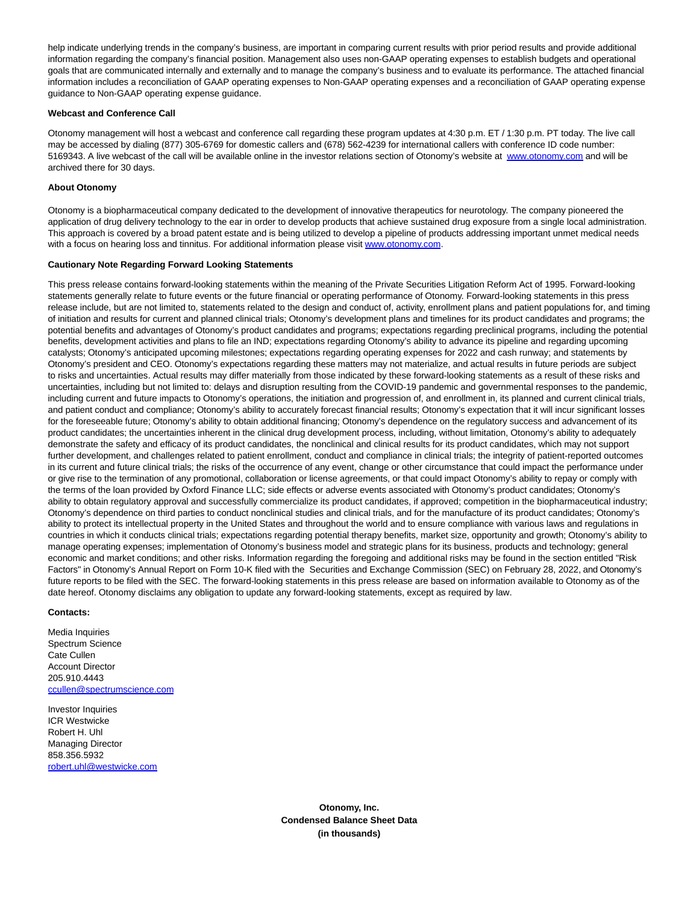help indicate underlying trends in the company's business, are important in comparing current results with prior period results and provide additional information regarding the company's financial position. Management also uses non-GAAP operating expenses to establish budgets and operational goals that are communicated internally and externally and to manage the company's business and to evaluate its performance. The attached financial information includes a reconciliation of GAAP operating expenses to Non-GAAP operating expenses and a reconciliation of GAAP operating expense guidance to Non-GAAP operating expense guidance.

#### **Webcast and Conference Call**

Otonomy management will host a webcast and conference call regarding these program updates at 4:30 p.m. ET / 1:30 p.m. PT today. The live call may be accessed by dialing (877) 305-6769 for domestic callers and (678) 562-4239 for international callers with conference ID code number: 5169343. A live webcast of the call will be available online in the investor relations section of Otonomy's website at [www.otonomy.com a](https://www.globenewswire.com/Tracker?data=XidR3MlotIMAlOQRKGbSWTfWb4Um9DciYOqAuN_rhlO9A5eqkyXSaNYnXEFOJ5TQJzCvNrnMyPIelzk_51MxgVhfdzLUKQcFYJwtTafz8YL51u_nJZzRwlmpAv5L-tWaATNNEOSAmcp3o1xEx-IDgCnCIWeSEGJ_goA8lpOpd3EYx5tdTXEvhi5-QrcVD81xw15YKpb8CXjyn016g_TkbgH1fntPUv_97jHRXnX1cvI=)nd will be archived there for 30 days.

#### **About Otonomy**

Otonomy is a biopharmaceutical company dedicated to the development of innovative therapeutics for neurotology. The company pioneered the application of drug delivery technology to the ear in order to develop products that achieve sustained drug exposure from a single local administration. This approach is covered by a broad patent estate and is being utilized to develop a pipeline of products addressing important unmet medical needs with a focus on hearing loss and tinnitus. For additional information please visit [www.otonomy.com.](https://www.globenewswire.com/Tracker?data=XidR3MlotIMAlOQRKGbSWUQFp5lgMQqLqR2byZCiyeta6gLdbkSmAwDOQn9ASWeBxI3JaK3gGavuIMozTgEX5Q==)

#### **Cautionary Note Regarding Forward Looking Statements**

This press release contains forward-looking statements within the meaning of the Private Securities Litigation Reform Act of 1995. Forward-looking statements generally relate to future events or the future financial or operating performance of Otonomy. Forward-looking statements in this press release include, but are not limited to, statements related to the design and conduct of, activity, enrollment plans and patient populations for, and timing of initiation and results for current and planned clinical trials; Otonomy's development plans and timelines for its product candidates and programs; the potential benefits and advantages of Otonomy's product candidates and programs; expectations regarding preclinical programs, including the potential benefits, development activities and plans to file an IND; expectations regarding Otonomy's ability to advance its pipeline and regarding upcoming catalysts; Otonomy's anticipated upcoming milestones; expectations regarding operating expenses for 2022 and cash runway; and statements by Otonomy's president and CEO. Otonomy's expectations regarding these matters may not materialize, and actual results in future periods are subject to risks and uncertainties. Actual results may differ materially from those indicated by these forward-looking statements as a result of these risks and uncertainties, including but not limited to: delays and disruption resulting from the COVID-19 pandemic and governmental responses to the pandemic, including current and future impacts to Otonomy's operations, the initiation and progression of, and enrollment in, its planned and current clinical trials, and patient conduct and compliance; Otonomy's ability to accurately forecast financial results; Otonomy's expectation that it will incur significant losses for the foreseeable future; Otonomy's ability to obtain additional financing; Otonomy's dependence on the regulatory success and advancement of its product candidates; the uncertainties inherent in the clinical drug development process, including, without limitation, Otonomy's ability to adequately demonstrate the safety and efficacy of its product candidates, the nonclinical and clinical results for its product candidates, which may not support further development, and challenges related to patient enrollment, conduct and compliance in clinical trials; the integrity of patient-reported outcomes in its current and future clinical trials; the risks of the occurrence of any event, change or other circumstance that could impact the performance under or give rise to the termination of any promotional, collaboration or license agreements, or that could impact Otonomy's ability to repay or comply with the terms of the loan provided by Oxford Finance LLC; side effects or adverse events associated with Otonomy's product candidates; Otonomy's ability to obtain regulatory approval and successfully commercialize its product candidates, if approved; competition in the biopharmaceutical industry; Otonomy's dependence on third parties to conduct nonclinical studies and clinical trials, and for the manufacture of its product candidates; Otonomy's ability to protect its intellectual property in the United States and throughout the world and to ensure compliance with various laws and regulations in countries in which it conducts clinical trials; expectations regarding potential therapy benefits, market size, opportunity and growth; Otonomy's ability to manage operating expenses; implementation of Otonomy's business model and strategic plans for its business, products and technology; general economic and market conditions; and other risks. Information regarding the foregoing and additional risks may be found in the section entitled "Risk Factors" in Otonomy's Annual Report on Form 10-K filed with the Securities and Exchange Commission (SEC) on February 28, 2022, and Otonomy's future reports to be filed with the SEC. The forward-looking statements in this press release are based on information available to Otonomy as of the date hereof. Otonomy disclaims any obligation to update any forward-looking statements, except as required by law.

#### **Contacts:**

Media Inquiries Spectrum Science Cate Cullen Account Director 205.910.4443 [ccullen@spectrumscience.com](https://www.globenewswire.com/Tracker?data=VrPLjJhNWuZenvMfKxDnkz3QtSk3FErbV1-dlRmShGP-ls5tueOk7-eKZx9x1GAGR2lbUl7qZ4IELIQ1Db87QfBWjZ478T6LhtVopFl0dw_9S_AUAnZQnFk67IZ-dwud)

Investor Inquiries ICR Westwicke Robert H. Uhl Managing Director 858.356.5932 [robert.uhl@westwicke.com](https://www.globenewswire.com/Tracker?data=dhxugl-RK98XUUZFoMcquFHRuSSikFFVutcGaeNg03Rs5i7_QWE4Gd9IBXP9XKvbpF4Fe7EqPpyjEiqerBDNugpBDgdAfAXWaVqOSWE9sew=)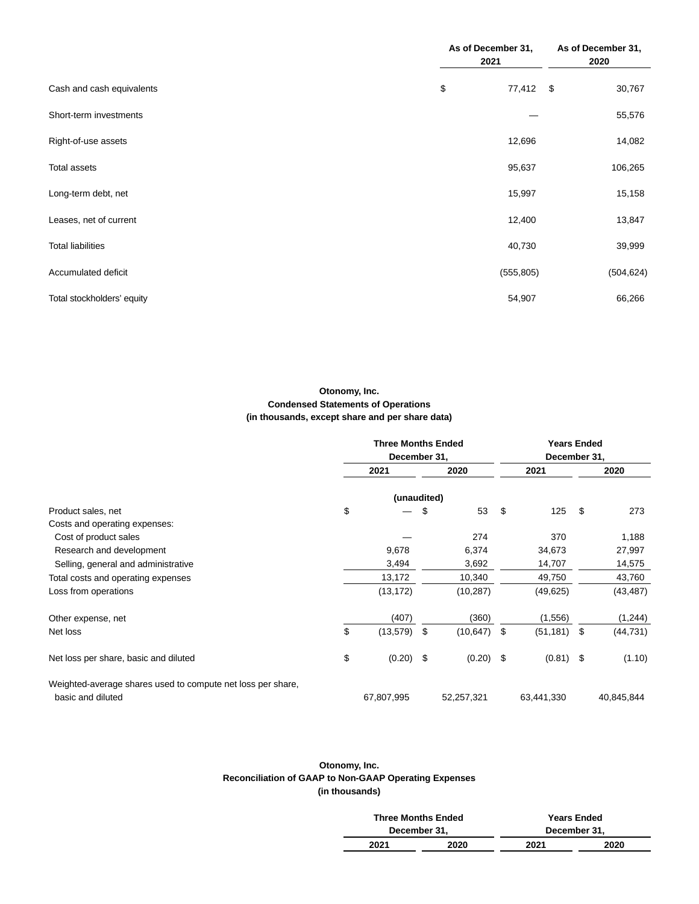|                            | As of December 31,<br>2021 | As of December 31,<br>2020 |            |  |
|----------------------------|----------------------------|----------------------------|------------|--|
| Cash and cash equivalents  | \$<br>77,412 \$            |                            | 30,767     |  |
| Short-term investments     |                            |                            | 55,576     |  |
| Right-of-use assets        | 12,696                     |                            | 14,082     |  |
| <b>Total assets</b>        | 95,637                     |                            | 106,265    |  |
| Long-term debt, net        | 15,997                     |                            | 15,158     |  |
| Leases, net of current     | 12,400                     |                            | 13,847     |  |
| <b>Total liabilities</b>   | 40,730                     |                            | 39,999     |  |
| Accumulated deficit        | (555, 805)                 |                            | (504, 624) |  |
| Total stockholders' equity | 54,907                     |                            | 66,266     |  |

# **Otonomy, Inc. Condensed Statements of Operations (in thousands, except share and per share data)**

|                                                             | <b>Three Months Ended</b><br>December 31, |     |             | <b>Years Ended</b><br>December 31, |      |            |  |
|-------------------------------------------------------------|-------------------------------------------|-----|-------------|------------------------------------|------|------------|--|
|                                                             | 2021<br>2020                              |     | 2021        |                                    | 2020 |            |  |
|                                                             | (unaudited)                               |     |             |                                    |      |            |  |
| Product sales, net                                          | \$                                        | \$  | 53          | \$<br>125                          | \$   | 273        |  |
| Costs and operating expenses:                               |                                           |     |             |                                    |      |            |  |
| Cost of product sales                                       |                                           |     | 274         | 370                                |      | 1,188      |  |
| Research and development                                    | 9,678                                     |     | 6,374       | 34,673                             |      | 27,997     |  |
| Selling, general and administrative                         | 3,494                                     |     | 3,692       | 14,707                             |      | 14,575     |  |
| Total costs and operating expenses                          | 13,172                                    |     | 10,340      | 49,750                             |      | 43,760     |  |
| Loss from operations                                        | (13, 172)                                 |     | (10, 287)   | (49, 625)                          |      | (43, 487)  |  |
| Other expense, net                                          | (407)                                     |     | (360)       | (1,556)                            |      | (1,244)    |  |
| Net loss                                                    | \$<br>(13,579)                            | -\$ | (10, 647)   | \$<br>(51, 181)                    | \$   | (44, 731)  |  |
| Net loss per share, basic and diluted                       | \$<br>$(0.20)$ \$                         |     | $(0.20)$ \$ | $(0.81)$ \$                        |      | (1.10)     |  |
| Weighted-average shares used to compute net loss per share, |                                           |     |             |                                    |      |            |  |
| basic and diluted                                           | 67,807,995                                |     | 52,257,321  | 63,441,330                         |      | 40,845,844 |  |

# **Otonomy, Inc. Reconciliation of GAAP to Non-GAAP Operating Expenses (in thousands)**

|      | <b>Three Months Ended</b> | <b>Years Ended</b> |      |  |  |
|------|---------------------------|--------------------|------|--|--|
|      | December 31,              | December 31.       |      |  |  |
| 2021 | 2020                      | 2021               | 2020 |  |  |